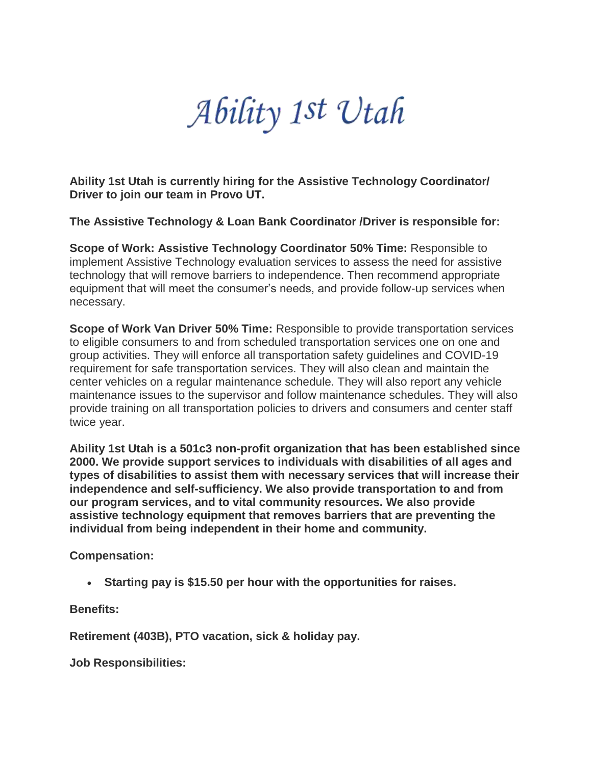Ability 1st Utah

**Ability 1st Utah is currently hiring for the Assistive Technology Coordinator/ Driver to join our team in Provo UT.**

**The Assistive Technology & Loan Bank Coordinator /Driver is responsible for:**

**Scope of Work: Assistive Technology Coordinator 50% Time:** Responsible to implement Assistive Technology evaluation services to assess the need for assistive technology that will remove barriers to independence. Then recommend appropriate equipment that will meet the consumer's needs, and provide follow-up services when necessary.

**Scope of Work Van Driver 50% Time:** Responsible to provide transportation services to eligible consumers to and from scheduled transportation services one on one and group activities. They will enforce all transportation safety guidelines and COVID-19 requirement for safe transportation services. They will also clean and maintain the center vehicles on a regular maintenance schedule. They will also report any vehicle maintenance issues to the supervisor and follow maintenance schedules. They will also provide training on all transportation policies to drivers and consumers and center staff twice year.

**Ability 1st Utah is a 501c3 non-profit organization that has been established since 2000. We provide support services to individuals with disabilities of all ages and types of disabilities to assist them with necessary services that will increase their independence and self-sufficiency. We also provide transportation to and from our program services, and to vital community resources. We also provide assistive technology equipment that removes barriers that are preventing the individual from being independent in their home and community.**

**Compensation:**

• **Starting pay is \$15.50 per hour with the opportunities for raises.**

**Benefits:**

**Retirement (403B), PTO vacation, sick & holiday pay.**

**Job Responsibilities:**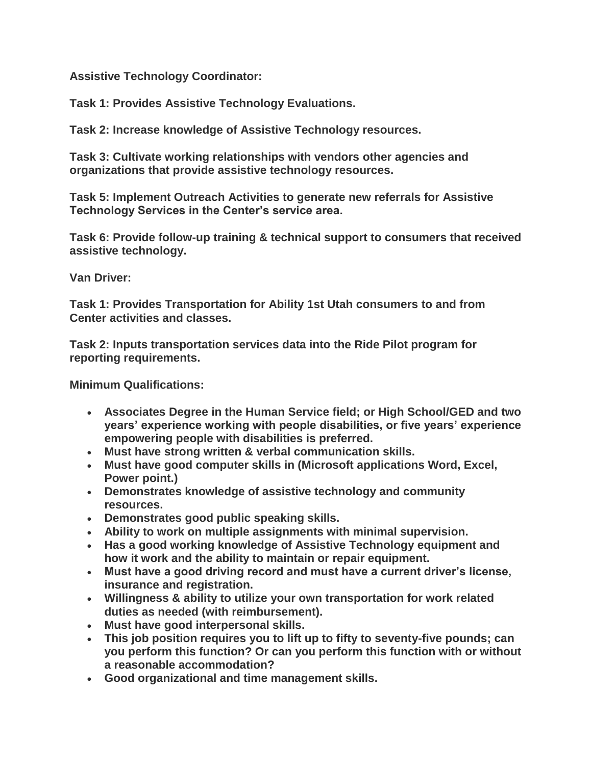**Assistive Technology Coordinator:**

**Task 1: Provides Assistive Technology Evaluations.**

**Task 2: Increase knowledge of Assistive Technology resources.**

**Task 3: Cultivate working relationships with vendors other agencies and organizations that provide assistive technology resources.**

**Task 5: Implement Outreach Activities to generate new referrals for Assistive Technology Services in the Center's service area.**

**Task 6: Provide follow-up training & technical support to consumers that received assistive technology.**

**Van Driver:**

**Task 1: Provides Transportation for Ability 1st Utah consumers to and from Center activities and classes.** 

**Task 2: Inputs transportation services data into the Ride Pilot program for reporting requirements.**

**Minimum Qualifications:**

- **Associates Degree in the Human Service field; or High School/GED and two years' experience working with people disabilities, or five years' experience empowering people with disabilities is preferred.**
- **Must have strong written & verbal communication skills.**
- **Must have good computer skills in (Microsoft applications Word, Excel, Power point.)**
- **Demonstrates knowledge of assistive technology and community resources.**
- **Demonstrates good public speaking skills.**
- **Ability to work on multiple assignments with minimal supervision.**
- **Has a good working knowledge of Assistive Technology equipment and how it work and the ability to maintain or repair equipment.**
- **Must have a good driving record and must have a current driver's license, insurance and registration.**
- **Willingness & ability to utilize your own transportation for work related duties as needed (with reimbursement).**
- **Must have good interpersonal skills.**
- **This job position requires you to lift up to fifty to seventy-five pounds; can you perform this function? Or can you perform this function with or without a reasonable accommodation?**
- **Good organizational and time management skills.**